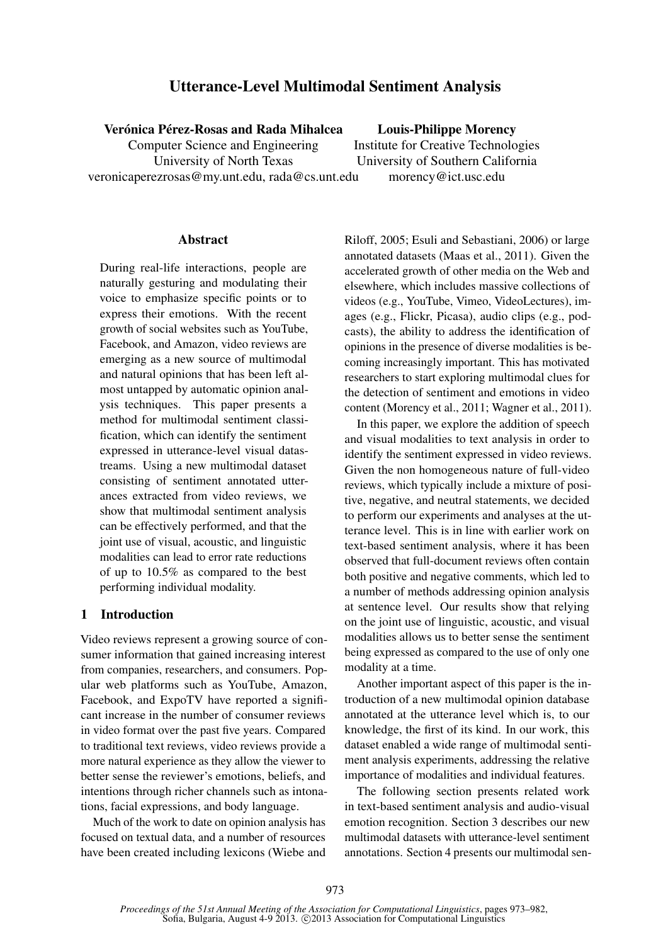# Utterance-Level Multimodal Sentiment Analysis

Verónica Pérez-Rosas and Rada Mihalcea

Computer Science and Engineering University of North Texas veronicaperezrosas@my.unt.edu, rada@cs.unt.edu

Louis-Philippe Morency Institute for Creative Technologies University of Southern California morency@ict.usc.edu

### Abstract

During real-life interactions, people are naturally gesturing and modulating their voice to emphasize specific points or to express their emotions. With the recent growth of social websites such as YouTube, Facebook, and Amazon, video reviews are emerging as a new source of multimodal and natural opinions that has been left almost untapped by automatic opinion analysis techniques. This paper presents a method for multimodal sentiment classification, which can identify the sentiment expressed in utterance-level visual datastreams. Using a new multimodal dataset consisting of sentiment annotated utterances extracted from video reviews, we show that multimodal sentiment analysis can be effectively performed, and that the joint use of visual, acoustic, and linguistic modalities can lead to error rate reductions of up to 10.5% as compared to the best performing individual modality.

### 1 Introduction

Video reviews represent a growing source of consumer information that gained increasing interest from companies, researchers, and consumers. Popular web platforms such as YouTube, Amazon, Facebook, and ExpoTV have reported a significant increase in the number of consumer reviews in video format over the past five years. Compared to traditional text reviews, video reviews provide a more natural experience as they allow the viewer to better sense the reviewer's emotions, beliefs, and intentions through richer channels such as intonations, facial expressions, and body language.

Much of the work to date on opinion analysis has focused on textual data, and a number of resources have been created including lexicons (Wiebe and Riloff, 2005; Esuli and Sebastiani, 2006) or large annotated datasets (Maas et al., 2011). Given the accelerated growth of other media on the Web and elsewhere, which includes massive collections of videos (e.g., YouTube, Vimeo, VideoLectures), images (e.g., Flickr, Picasa), audio clips (e.g., podcasts), the ability to address the identification of opinions in the presence of diverse modalities is becoming increasingly important. This has motivated researchers to start exploring multimodal clues for the detection of sentiment and emotions in video content (Morency et al., 2011; Wagner et al., 2011).

In this paper, we explore the addition of speech and visual modalities to text analysis in order to identify the sentiment expressed in video reviews. Given the non homogeneous nature of full-video reviews, which typically include a mixture of positive, negative, and neutral statements, we decided to perform our experiments and analyses at the utterance level. This is in line with earlier work on text-based sentiment analysis, where it has been observed that full-document reviews often contain both positive and negative comments, which led to a number of methods addressing opinion analysis at sentence level. Our results show that relying on the joint use of linguistic, acoustic, and visual modalities allows us to better sense the sentiment being expressed as compared to the use of only one modality at a time.

Another important aspect of this paper is the introduction of a new multimodal opinion database annotated at the utterance level which is, to our knowledge, the first of its kind. In our work, this dataset enabled a wide range of multimodal sentiment analysis experiments, addressing the relative importance of modalities and individual features.

The following section presents related work in text-based sentiment analysis and audio-visual emotion recognition. Section 3 describes our new multimodal datasets with utterance-level sentiment annotations. Section 4 presents our multimodal sen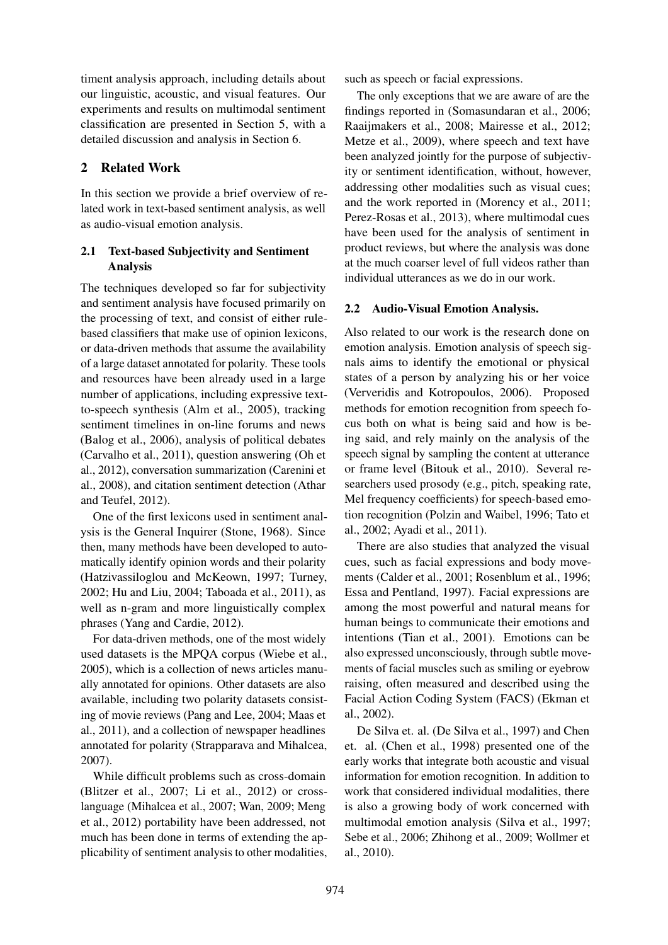timent analysis approach, including details about our linguistic, acoustic, and visual features. Our experiments and results on multimodal sentiment classification are presented in Section 5, with a detailed discussion and analysis in Section 6.

## 2 Related Work

In this section we provide a brief overview of related work in text-based sentiment analysis, as well as audio-visual emotion analysis.

# 2.1 Text-based Subjectivity and Sentiment Analysis

The techniques developed so far for subjectivity and sentiment analysis have focused primarily on the processing of text, and consist of either rulebased classifiers that make use of opinion lexicons, or data-driven methods that assume the availability of a large dataset annotated for polarity. These tools and resources have been already used in a large number of applications, including expressive textto-speech synthesis (Alm et al., 2005), tracking sentiment timelines in on-line forums and news (Balog et al., 2006), analysis of political debates (Carvalho et al., 2011), question answering (Oh et al., 2012), conversation summarization (Carenini et al., 2008), and citation sentiment detection (Athar and Teufel, 2012).

One of the first lexicons used in sentiment analysis is the General Inquirer (Stone, 1968). Since then, many methods have been developed to automatically identify opinion words and their polarity (Hatzivassiloglou and McKeown, 1997; Turney, 2002; Hu and Liu, 2004; Taboada et al., 2011), as well as n-gram and more linguistically complex phrases (Yang and Cardie, 2012).

For data-driven methods, one of the most widely used datasets is the MPQA corpus (Wiebe et al., 2005), which is a collection of news articles manually annotated for opinions. Other datasets are also available, including two polarity datasets consisting of movie reviews (Pang and Lee, 2004; Maas et al., 2011), and a collection of newspaper headlines annotated for polarity (Strapparava and Mihalcea, 2007).

While difficult problems such as cross-domain (Blitzer et al., 2007; Li et al., 2012) or crosslanguage (Mihalcea et al., 2007; Wan, 2009; Meng et al., 2012) portability have been addressed, not much has been done in terms of extending the applicability of sentiment analysis to other modalities, such as speech or facial expressions.

The only exceptions that we are aware of are the findings reported in (Somasundaran et al., 2006; Raaijmakers et al., 2008; Mairesse et al., 2012; Metze et al., 2009), where speech and text have been analyzed jointly for the purpose of subjectivity or sentiment identification, without, however, addressing other modalities such as visual cues; and the work reported in (Morency et al., 2011; Perez-Rosas et al., 2013), where multimodal cues have been used for the analysis of sentiment in product reviews, but where the analysis was done at the much coarser level of full videos rather than individual utterances as we do in our work.

# 2.2 Audio-Visual Emotion Analysis.

Also related to our work is the research done on emotion analysis. Emotion analysis of speech signals aims to identify the emotional or physical states of a person by analyzing his or her voice (Ververidis and Kotropoulos, 2006). Proposed methods for emotion recognition from speech focus both on what is being said and how is being said, and rely mainly on the analysis of the speech signal by sampling the content at utterance or frame level (Bitouk et al., 2010). Several researchers used prosody (e.g., pitch, speaking rate, Mel frequency coefficients) for speech-based emotion recognition (Polzin and Waibel, 1996; Tato et al., 2002; Ayadi et al., 2011).

There are also studies that analyzed the visual cues, such as facial expressions and body movements (Calder et al., 2001; Rosenblum et al., 1996; Essa and Pentland, 1997). Facial expressions are among the most powerful and natural means for human beings to communicate their emotions and intentions (Tian et al., 2001). Emotions can be also expressed unconsciously, through subtle movements of facial muscles such as smiling or eyebrow raising, often measured and described using the Facial Action Coding System (FACS) (Ekman et al., 2002).

De Silva et. al. (De Silva et al., 1997) and Chen et. al. (Chen et al., 1998) presented one of the early works that integrate both acoustic and visual information for emotion recognition. In addition to work that considered individual modalities, there is also a growing body of work concerned with multimodal emotion analysis (Silva et al., 1997; Sebe et al., 2006; Zhihong et al., 2009; Wollmer et al., 2010).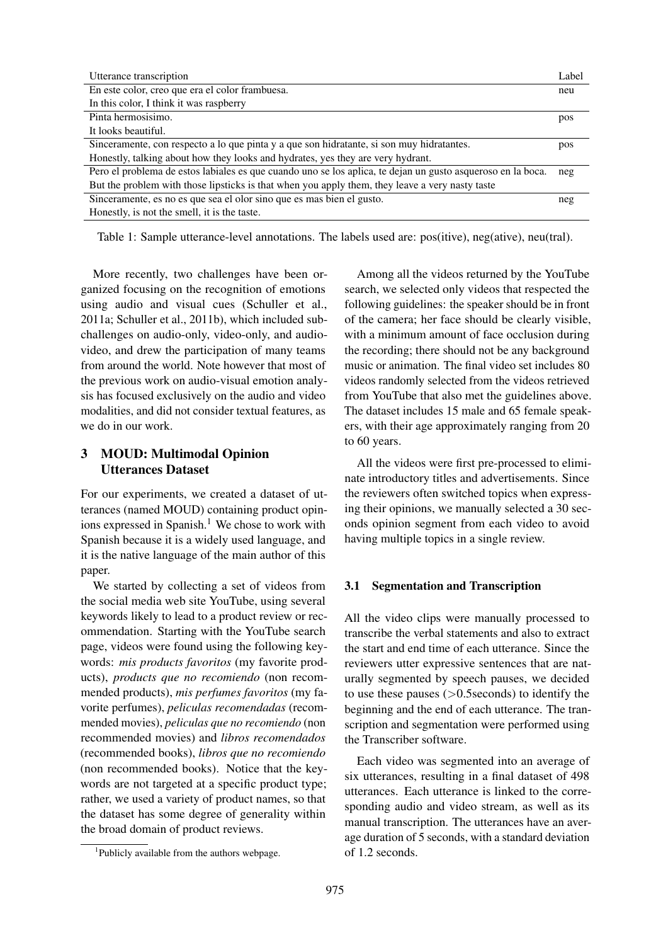| Utterance transcription                                                                                     | Label |  |  |  |
|-------------------------------------------------------------------------------------------------------------|-------|--|--|--|
| En este color, creo que era el color frambuesa.                                                             | neu   |  |  |  |
| In this color, I think it was raspberry                                                                     |       |  |  |  |
| Pinta hermosisimo.                                                                                          | pos   |  |  |  |
| It looks beautiful.                                                                                         |       |  |  |  |
| Sinceramente, con respecto a lo que pinta y a que son hidratante, si son muy hidratantes.                   |       |  |  |  |
| Honestly, talking about how they looks and hydrates, yes they are very hydrant.                             |       |  |  |  |
| Pero el problema de estos labiales es que cuando uno se los aplica, te dejan un gusto asqueroso en la boca. | neg   |  |  |  |
| But the problem with those lipsticks is that when you apply them, they leave a very nasty taste             |       |  |  |  |
| Sinceramente, es no es que sea el olor sino que es mas bien el gusto.                                       | neg   |  |  |  |
| Honestly, is not the smell, it is the taste.                                                                |       |  |  |  |

Table 1: Sample utterance-level annotations. The labels used are: pos(itive), neg(ative), neu(tral).

More recently, two challenges have been organized focusing on the recognition of emotions using audio and visual cues (Schuller et al., 2011a; Schuller et al., 2011b), which included subchallenges on audio-only, video-only, and audiovideo, and drew the participation of many teams from around the world. Note however that most of the previous work on audio-visual emotion analysis has focused exclusively on the audio and video modalities, and did not consider textual features, as we do in our work.

## 3 MOUD: Multimodal Opinion Utterances Dataset

For our experiments, we created a dataset of utterances (named MOUD) containing product opinions expressed in Spanish.<sup>1</sup> We chose to work with Spanish because it is a widely used language, and it is the native language of the main author of this paper.

We started by collecting a set of videos from the social media web site YouTube, using several keywords likely to lead to a product review or recommendation. Starting with the YouTube search page, videos were found using the following keywords: *mis products favoritos* (my favorite products), *products que no recomiendo* (non recommended products), *mis perfumes favoritos* (my favorite perfumes), *peliculas recomendadas* (recommended movies), *peliculas que no recomiendo* (non recommended movies) and *libros recomendados* (recommended books), *libros que no recomiendo* (non recommended books). Notice that the keywords are not targeted at a specific product type; rather, we used a variety of product names, so that the dataset has some degree of generality within the broad domain of product reviews.

1 Publicly available from the authors webpage.

Among all the videos returned by the YouTube search, we selected only videos that respected the following guidelines: the speaker should be in front of the camera; her face should be clearly visible, with a minimum amount of face occlusion during the recording; there should not be any background music or animation. The final video set includes 80 videos randomly selected from the videos retrieved from YouTube that also met the guidelines above. The dataset includes 15 male and 65 female speakers, with their age approximately ranging from 20 to 60 years.

All the videos were first pre-processed to eliminate introductory titles and advertisements. Since the reviewers often switched topics when expressing their opinions, we manually selected a 30 seconds opinion segment from each video to avoid having multiple topics in a single review.

#### 3.1 Segmentation and Transcription

All the video clips were manually processed to transcribe the verbal statements and also to extract the start and end time of each utterance. Since the reviewers utter expressive sentences that are naturally segmented by speech pauses, we decided to use these pauses  $(>0.5$ seconds) to identify the beginning and the end of each utterance. The transcription and segmentation were performed using the Transcriber software.

Each video was segmented into an average of six utterances, resulting in a final dataset of 498 utterances. Each utterance is linked to the corresponding audio and video stream, as well as its manual transcription. The utterances have an average duration of 5 seconds, with a standard deviation of 1.2 seconds.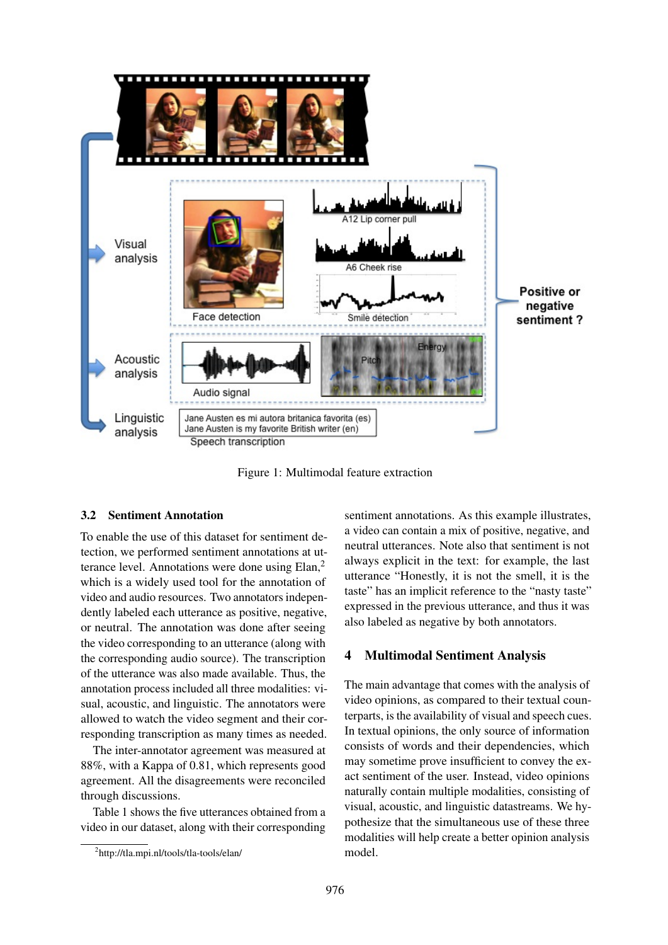

Figure 1: Multimodal feature extraction

## 3.2 Sentiment Annotation

To enable the use of this dataset for sentiment detection, we performed sentiment annotations at utterance level. Annotations were done using Elan,<sup>2</sup> which is a widely used tool for the annotation of video and audio resources. Two annotators independently labeled each utterance as positive, negative, or neutral. The annotation was done after seeing the video corresponding to an utterance (along with the corresponding audio source). The transcription of the utterance was also made available. Thus, the annotation process included all three modalities: visual, acoustic, and linguistic. The annotators were allowed to watch the video segment and their corresponding transcription as many times as needed.

The inter-annotator agreement was measured at 88%, with a Kappa of 0.81, which represents good agreement. All the disagreements were reconciled through discussions.

Table 1 shows the five utterances obtained from a video in our dataset, along with their corresponding sentiment annotations. As this example illustrates, a video can contain a mix of positive, negative, and neutral utterances. Note also that sentiment is not always explicit in the text: for example, the last utterance "Honestly, it is not the smell, it is the taste" has an implicit reference to the "nasty taste" expressed in the previous utterance, and thus it was also labeled as negative by both annotators.

## 4 Multimodal Sentiment Analysis

The main advantage that comes with the analysis of video opinions, as compared to their textual counterparts, is the availability of visual and speech cues. In textual opinions, the only source of information consists of words and their dependencies, which may sometime prove insufficient to convey the exact sentiment of the user. Instead, video opinions naturally contain multiple modalities, consisting of visual, acoustic, and linguistic datastreams. We hypothesize that the simultaneous use of these three modalities will help create a better opinion analysis model.

<sup>2</sup> http://tla.mpi.nl/tools/tla-tools/elan/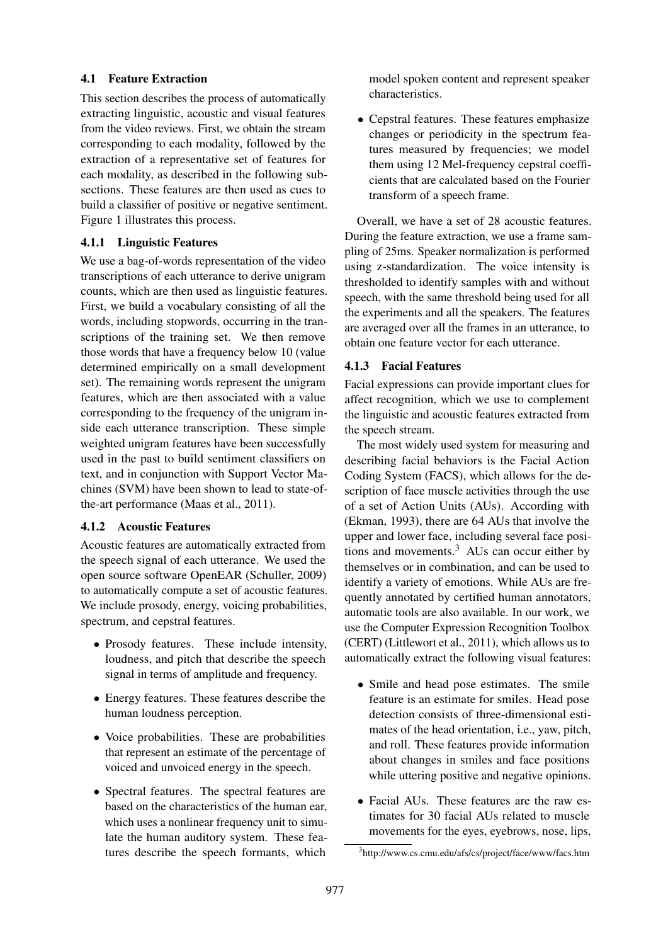# 4.1 Feature Extraction

This section describes the process of automatically extracting linguistic, acoustic and visual features from the video reviews. First, we obtain the stream corresponding to each modality, followed by the extraction of a representative set of features for each modality, as described in the following subsections. These features are then used as cues to build a classifier of positive or negative sentiment. Figure 1 illustrates this process.

# 4.1.1 Linguistic Features

We use a bag-of-words representation of the video transcriptions of each utterance to derive unigram counts, which are then used as linguistic features. First, we build a vocabulary consisting of all the words, including stopwords, occurring in the transcriptions of the training set. We then remove those words that have a frequency below 10 (value determined empirically on a small development set). The remaining words represent the unigram features, which are then associated with a value corresponding to the frequency of the unigram inside each utterance transcription. These simple weighted unigram features have been successfully used in the past to build sentiment classifiers on text, and in conjunction with Support Vector Machines (SVM) have been shown to lead to state-ofthe-art performance (Maas et al., 2011).

# 4.1.2 Acoustic Features

Acoustic features are automatically extracted from the speech signal of each utterance. We used the open source software OpenEAR (Schuller, 2009) to automatically compute a set of acoustic features. We include prosody, energy, voicing probabilities, spectrum, and cepstral features.

- Prosody features. These include intensity, loudness, and pitch that describe the speech signal in terms of amplitude and frequency.
- Energy features. These features describe the human loudness perception.
- Voice probabilities. These are probabilities that represent an estimate of the percentage of voiced and unvoiced energy in the speech.
- Spectral features. The spectral features are based on the characteristics of the human ear, which uses a nonlinear frequency unit to simulate the human auditory system. These features describe the speech formants, which

model spoken content and represent speaker characteristics.

• Cepstral features. These features emphasize changes or periodicity in the spectrum features measured by frequencies; we model them using 12 Mel-frequency cepstral coefficients that are calculated based on the Fourier transform of a speech frame.

Overall, we have a set of 28 acoustic features. During the feature extraction, we use a frame sampling of 25ms. Speaker normalization is performed using z-standardization. The voice intensity is thresholded to identify samples with and without speech, with the same threshold being used for all the experiments and all the speakers. The features are averaged over all the frames in an utterance, to obtain one feature vector for each utterance.

# 4.1.3 Facial Features

Facial expressions can provide important clues for affect recognition, which we use to complement the linguistic and acoustic features extracted from the speech stream.

The most widely used system for measuring and describing facial behaviors is the Facial Action Coding System (FACS), which allows for the description of face muscle activities through the use of a set of Action Units (AUs). According with (Ekman, 1993), there are 64 AUs that involve the upper and lower face, including several face positions and movements. $3$  AUs can occur either by themselves or in combination, and can be used to identify a variety of emotions. While AUs are frequently annotated by certified human annotators, automatic tools are also available. In our work, we use the Computer Expression Recognition Toolbox (CERT) (Littlewort et al., 2011), which allows us to automatically extract the following visual features:

- Smile and head pose estimates. The smile feature is an estimate for smiles. Head pose detection consists of three-dimensional estimates of the head orientation, i.e., yaw, pitch, and roll. These features provide information about changes in smiles and face positions while uttering positive and negative opinions.
- Facial AUs. These features are the raw estimates for 30 facial AUs related to muscle movements for the eyes, eyebrows, nose, lips,

<sup>3</sup> http://www.cs.cmu.edu/afs/cs/project/face/www/facs.htm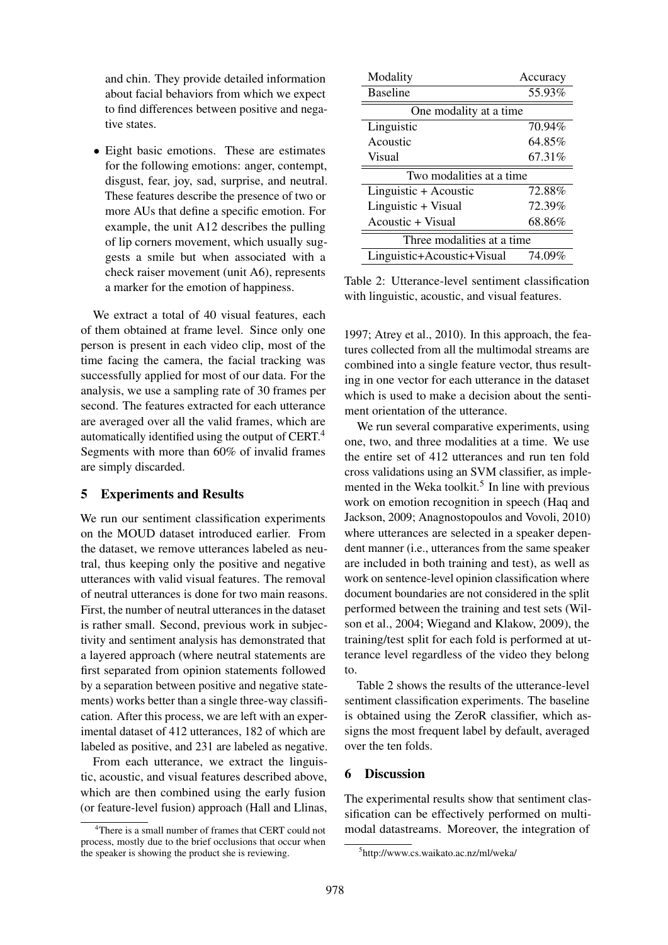and chin. They provide detailed information about facial behaviors from which we expect to find differences between positive and negative states.

• Eight basic emotions. These are estimates for the following emotions: anger, contempt, disgust, fear, joy, sad, surprise, and neutral. These features describe the presence of two or more AUs that define a specific emotion. For example, the unit A12 describes the pulling of lip corners movement, which usually suggests a smile but when associated with a check raiser movement (unit A6), represents a marker for the emotion of happiness.

We extract a total of 40 visual features, each of them obtained at frame level. Since only one person is present in each video clip, most of the time facing the camera, the facial tracking was successfully applied for most of our data. For the analysis, we use a sampling rate of 30 frames per second. The features extracted for each utterance are averaged over all the valid frames, which are automatically identified using the output of CERT.<sup>4</sup> Segments with more than 60% of invalid frames are simply discarded.

### 5 Experiments and Results

We run our sentiment classification experiments on the MOUD dataset introduced earlier. From the dataset, we remove utterances labeled as neutral, thus keeping only the positive and negative utterances with valid visual features. The removal of neutral utterances is done for two main reasons. First, the number of neutral utterances in the dataset is rather small. Second, previous work in subjectivity and sentiment analysis has demonstrated that a layered approach (where neutral statements are first separated from opinion statements followed by a separation between positive and negative statements) works better than a single three-way classification. After this process, we are left with an experimental dataset of 412 utterances, 182 of which are labeled as positive, and 231 are labeled as negative.

From each utterance, we extract the linguistic, acoustic, and visual features described above, which are then combined using the early fusion (or feature-level fusion) approach (Hall and Llinas,

| Modality                   | Accuracy |  |  |  |  |
|----------------------------|----------|--|--|--|--|
| <b>Baseline</b>            | 55.93%   |  |  |  |  |
| One modality at a time     |          |  |  |  |  |
| Linguistic                 | 70.94%   |  |  |  |  |
| Acoustic                   | 64.85%   |  |  |  |  |
| Visual                     | 67.31%   |  |  |  |  |
| Two modalities at a time   |          |  |  |  |  |
| Linguistic + Acoustic      | 72.88%   |  |  |  |  |
| Linguistic + Visual        | 72.39%   |  |  |  |  |
| Acoustic + Visual          | 68.86%   |  |  |  |  |
| Three modalities at a time |          |  |  |  |  |
| Linguistic+Acoustic+Visual | 74.09%   |  |  |  |  |

Table 2: Utterance-level sentiment classification with linguistic, acoustic, and visual features.

1997; Atrey et al., 2010). In this approach, the features collected from all the multimodal streams are combined into a single feature vector, thus resulting in one vector for each utterance in the dataset which is used to make a decision about the sentiment orientation of the utterance.

We run several comparative experiments, using one, two, and three modalities at a time. We use the entire set of 412 utterances and run ten fold cross validations using an SVM classifier, as implemented in the Weka toolkit.<sup>5</sup> In line with previous work on emotion recognition in speech (Haq and Jackson, 2009; Anagnostopoulos and Vovoli, 2010) where utterances are selected in a speaker dependent manner (i.e., utterances from the same speaker are included in both training and test), as well as work on sentence-level opinion classification where document boundaries are not considered in the split performed between the training and test sets (Wilson et al., 2004; Wiegand and Klakow, 2009), the training/test split for each fold is performed at utterance level regardless of the video they belong to.

Table 2 shows the results of the utterance-level sentiment classification experiments. The baseline is obtained using the ZeroR classifier, which assigns the most frequent label by default, averaged over the ten folds.

## 6 Discussion

The experimental results show that sentiment classification can be effectively performed on multimodal datastreams. Moreover, the integration of

<sup>&</sup>lt;sup>4</sup>There is a small number of frames that CERT could not process, mostly due to the brief occlusions that occur when the speaker is showing the product she is reviewing.

<sup>5</sup> http://www.cs.waikato.ac.nz/ml/weka/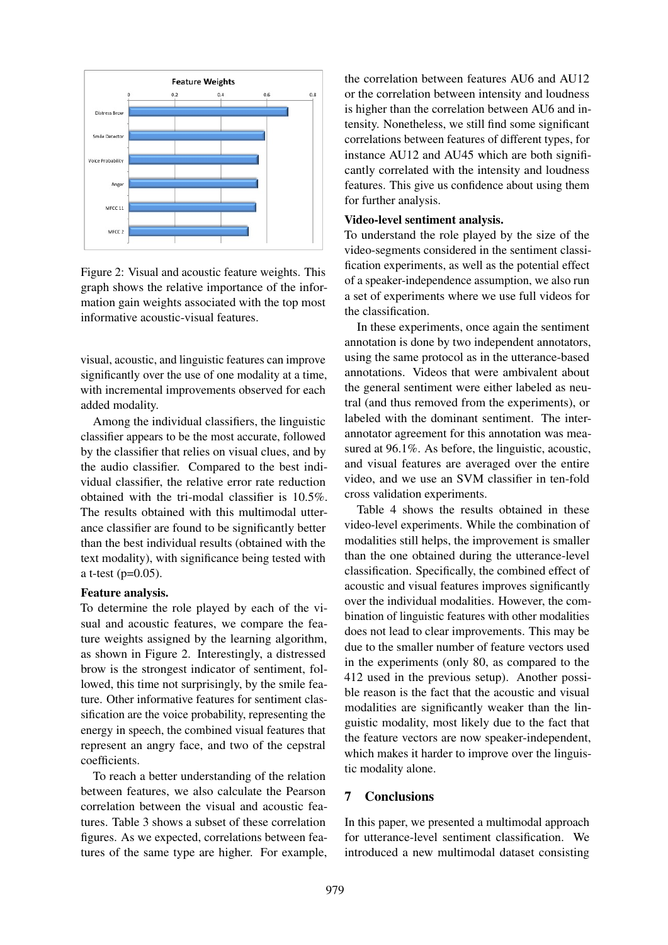

Figure 2: Visual and acoustic feature weights. This graph shows the relative importance of the information gain weights associated with the top most informative acoustic-visual features.

visual, acoustic, and linguistic features can improve significantly over the use of one modality at a time, with incremental improvements observed for each added modality.

Among the individual classifiers, the linguistic classifier appears to be the most accurate, followed by the classifier that relies on visual clues, and by the audio classifier. Compared to the best individual classifier, the relative error rate reduction obtained with the tri-modal classifier is 10.5%. The results obtained with this multimodal utterance classifier are found to be significantly better than the best individual results (obtained with the text modality), with significance being tested with a t-test  $(p=0.05)$ .

#### Feature analysis.

To determine the role played by each of the visual and acoustic features, we compare the feature weights assigned by the learning algorithm, as shown in Figure 2. Interestingly, a distressed brow is the strongest indicator of sentiment, followed, this time not surprisingly, by the smile feature. Other informative features for sentiment classification are the voice probability, representing the energy in speech, the combined visual features that represent an angry face, and two of the cepstral coefficients.

To reach a better understanding of the relation between features, we also calculate the Pearson correlation between the visual and acoustic features. Table 3 shows a subset of these correlation figures. As we expected, correlations between features of the same type are higher. For example, the correlation between features AU6 and AU12 or the correlation between intensity and loudness is higher than the correlation between AU6 and intensity. Nonetheless, we still find some significant correlations between features of different types, for instance AU12 and AU45 which are both significantly correlated with the intensity and loudness features. This give us confidence about using them for further analysis.

#### Video-level sentiment analysis.

To understand the role played by the size of the video-segments considered in the sentiment classification experiments, as well as the potential effect of a speaker-independence assumption, we also run a set of experiments where we use full videos for the classification.

In these experiments, once again the sentiment annotation is done by two independent annotators, using the same protocol as in the utterance-based annotations. Videos that were ambivalent about the general sentiment were either labeled as neutral (and thus removed from the experiments), or labeled with the dominant sentiment. The interannotator agreement for this annotation was measured at 96.1%. As before, the linguistic, acoustic, and visual features are averaged over the entire video, and we use an SVM classifier in ten-fold cross validation experiments.

Table 4 shows the results obtained in these video-level experiments. While the combination of modalities still helps, the improvement is smaller than the one obtained during the utterance-level classification. Specifically, the combined effect of acoustic and visual features improves significantly over the individual modalities. However, the combination of linguistic features with other modalities does not lead to clear improvements. This may be due to the smaller number of feature vectors used in the experiments (only 80, as compared to the 412 used in the previous setup). Another possible reason is the fact that the acoustic and visual modalities are significantly weaker than the linguistic modality, most likely due to the fact that the feature vectors are now speaker-independent, which makes it harder to improve over the linguistic modality alone.

### 7 Conclusions

In this paper, we presented a multimodal approach for utterance-level sentiment classification. We introduced a new multimodal dataset consisting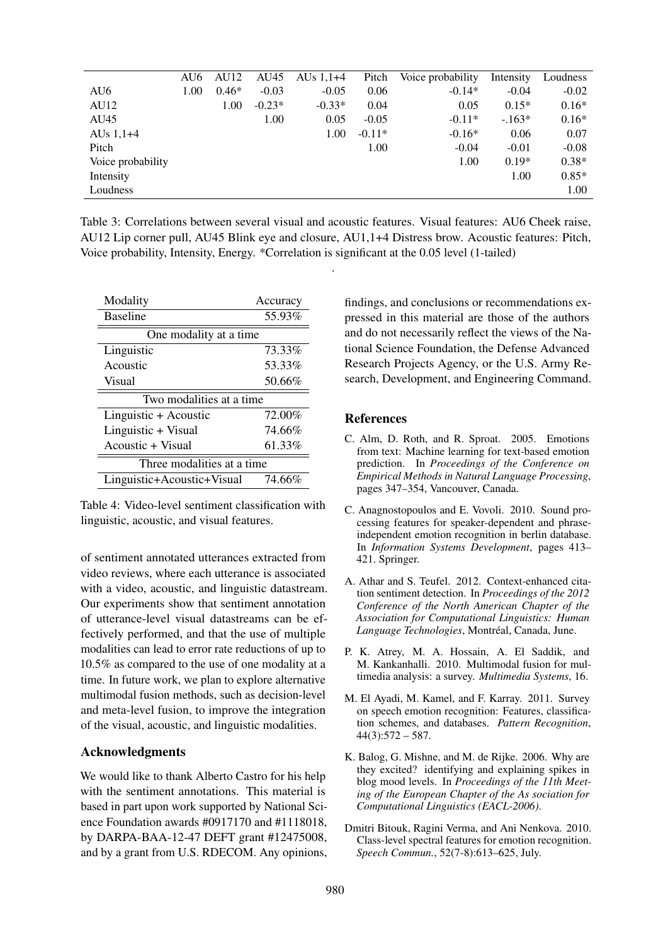|                   | AU6  | AU <sub>12</sub> | AU45     | AUs $1,1+4$ | Pitch    | Voice probability | Intensity | Loudness |
|-------------------|------|------------------|----------|-------------|----------|-------------------|-----------|----------|
| AU6               | 1.00 | $0.46*$          | $-0.03$  | $-0.05$     | 0.06     | $-0.14*$          | $-0.04$   | $-0.02$  |
| AU12              |      | 1.00             | $-0.23*$ | $-0.33*$    | 0.04     | 0.05              | $0.15*$   | $0.16*$  |
| AU45              |      |                  | 1.00     | 0.05        | $-0.05$  | $-0.11*$          | $-.163*$  | $0.16*$  |
| AUs $1,1+4$       |      |                  |          | 1.00        | $-0.11*$ | $-0.16*$          | 0.06      | 0.07     |
| Pitch             |      |                  |          |             | 1.00     | $-0.04$           | $-0.01$   | $-0.08$  |
| Voice probability |      |                  |          |             |          | 1.00              | $0.19*$   | $0.38*$  |
| Intensity         |      |                  |          |             |          |                   | 1.00      | $0.85*$  |
| Loudness          |      |                  |          |             |          |                   |           | 1.00     |

Table 3: Correlations between several visual and acoustic features. Visual features: AU6 Cheek raise, AU12 Lip corner pull, AU45 Blink eye and closure, AU1,1+4 Distress brow. Acoustic features: Pitch, Voice probability, Intensity, Energy. \*Correlation is significant at the 0.05 level (1-tailed)

.

| Modality                    | Accuracy |  |  |  |  |
|-----------------------------|----------|--|--|--|--|
| <b>Baseline</b>             | 55.93%   |  |  |  |  |
| One modality at a time      |          |  |  |  |  |
| Linguistic                  | 73.33%   |  |  |  |  |
| Acoustic                    | 53.33%   |  |  |  |  |
| Visual                      | 50.66%   |  |  |  |  |
| Two modalities at a time.   |          |  |  |  |  |
| Linguistic + Acoustic       | 72.00%   |  |  |  |  |
| Linguistic + Visual         | 74.66%   |  |  |  |  |
| Acoustic + Visual           | 61.33%   |  |  |  |  |
| Three modalities at a time. |          |  |  |  |  |
| Linguistic+Acoustic+Visual  | 74.66%   |  |  |  |  |

Table 4: Video-level sentiment classification with linguistic, acoustic, and visual features.

of sentiment annotated utterances extracted from video reviews, where each utterance is associated with a video, acoustic, and linguistic datastream. Our experiments show that sentiment annotation of utterance-level visual datastreams can be effectively performed, and that the use of multiple modalities can lead to error rate reductions of up to 10.5% as compared to the use of one modality at a time. In future work, we plan to explore alternative multimodal fusion methods, such as decision-level and meta-level fusion, to improve the integration of the visual, acoustic, and linguistic modalities.

## Acknowledgments

We would like to thank Alberto Castro for his help with the sentiment annotations. This material is based in part upon work supported by National Science Foundation awards #0917170 and #1118018, by DARPA-BAA-12-47 DEFT grant #12475008, and by a grant from U.S. RDECOM. Any opinions,

findings, and conclusions or recommendations expressed in this material are those of the authors and do not necessarily reflect the views of the National Science Foundation, the Defense Advanced Research Projects Agency, or the U.S. Army Research, Development, and Engineering Command.

## **References**

- C. Alm, D. Roth, and R. Sproat. 2005. Emotions from text: Machine learning for text-based emotion prediction. In *Proceedings of the Conference on Empirical Methods in Natural Language Processing*, pages 347–354, Vancouver, Canada.
- C. Anagnostopoulos and E. Vovoli. 2010. Sound processing features for speaker-dependent and phraseindependent emotion recognition in berlin database. In *Information Systems Development*, pages 413– 421. Springer.
- A. Athar and S. Teufel. 2012. Context-enhanced citation sentiment detection. In *Proceedings of the 2012 Conference of the North American Chapter of the Association for Computational Linguistics: Human Language Technologies*, Montréal, Canada, June.
- P. K. Atrey, M. A. Hossain, A. El Saddik, and M. Kankanhalli. 2010. Multimodal fusion for multimedia analysis: a survey. *Multimedia Systems*, 16.
- M. El Ayadi, M. Kamel, and F. Karray. 2011. Survey on speech emotion recognition: Features, classification schemes, and databases. *Pattern Recognition*,  $44(3):572-587.$
- K. Balog, G. Mishne, and M. de Rijke. 2006. Why are they excited? identifying and explaining spikes in blog mood levels. In *Proceedings of the 11th Meeting of the European Chapter of the As sociation for Computational Linguistics (EACL-2006)*.
- Dmitri Bitouk, Ragini Verma, and Ani Nenkova. 2010. Class-level spectral features for emotion recognition. *Speech Commun.*, 52(7-8):613–625, July.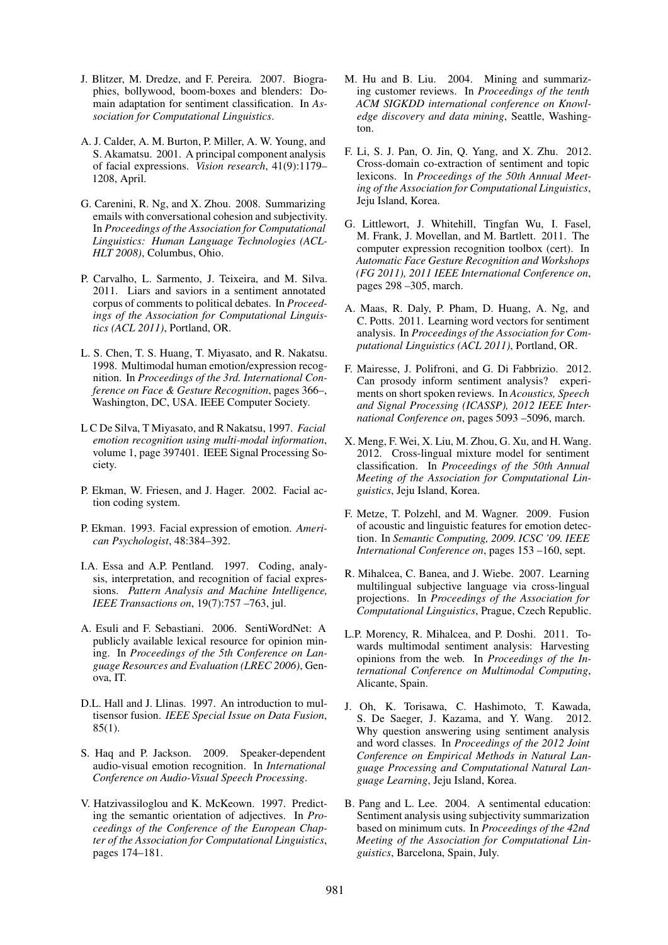- J. Blitzer, M. Dredze, and F. Pereira. 2007. Biographies, bollywood, boom-boxes and blenders: Domain adaptation for sentiment classification. In *Association for Computational Linguistics*.
- A. J. Calder, A. M. Burton, P. Miller, A. W. Young, and S. Akamatsu. 2001. A principal component analysis of facial expressions. *Vision research*, 41(9):1179– 1208, April.
- G. Carenini, R. Ng, and X. Zhou. 2008. Summarizing emails with conversational cohesion and subjectivity. In *Proceedings of the Association for Computational Linguistics: Human Language Technologies (ACL-HLT 2008)*, Columbus, Ohio.
- P. Carvalho, L. Sarmento, J. Teixeira, and M. Silva. 2011. Liars and saviors in a sentiment annotated corpus of comments to political debates. In *Proceedings of the Association for Computational Linguistics (ACL 2011)*, Portland, OR.
- L. S. Chen, T. S. Huang, T. Miyasato, and R. Nakatsu. 1998. Multimodal human emotion/expression recognition. In *Proceedings of the 3rd. International Conference on Face & Gesture Recognition*, pages 366–, Washington, DC, USA. IEEE Computer Society.
- L C De Silva, T Miyasato, and R Nakatsu, 1997. *Facial emotion recognition using multi-modal information*, volume 1, page 397401. IEEE Signal Processing Society.
- P. Ekman, W. Friesen, and J. Hager. 2002. Facial action coding system.
- P. Ekman. 1993. Facial expression of emotion. *American Psychologist*, 48:384–392.
- I.A. Essa and A.P. Pentland. 1997. Coding, analysis, interpretation, and recognition of facial expressions. *Pattern Analysis and Machine Intelligence, IEEE Transactions on*, 19(7):757 –763, jul.
- A. Esuli and F. Sebastiani. 2006. SentiWordNet: A publicly available lexical resource for opinion mining. In *Proceedings of the 5th Conference on Language Resources and Evaluation (LREC 2006)*, Genova, IT.
- D.L. Hall and J. Llinas. 1997. An introduction to multisensor fusion. *IEEE Special Issue on Data Fusion*, 85(1).
- S. Haq and P. Jackson. 2009. Speaker-dependent audio-visual emotion recognition. In *International Conference on Audio-Visual Speech Processing*.
- V. Hatzivassiloglou and K. McKeown. 1997. Predicting the semantic orientation of adjectives. In *Proceedings of the Conference of the European Chapter of the Association for Computational Linguistics*, pages 174–181.
- M. Hu and B. Liu. 2004. Mining and summarizing customer reviews. In *Proceedings of the tenth ACM SIGKDD international conference on Knowledge discovery and data mining*, Seattle, Washington.
- F. Li, S. J. Pan, O. Jin, Q. Yang, and X. Zhu. 2012. Cross-domain co-extraction of sentiment and topic lexicons. In *Proceedings of the 50th Annual Meeting of the Association for Computational Linguistics*, Jeju Island, Korea.
- G. Littlewort, J. Whitehill, Tingfan Wu, I. Fasel, M. Frank, J. Movellan, and M. Bartlett. 2011. The computer expression recognition toolbox (cert). In *Automatic Face Gesture Recognition and Workshops (FG 2011), 2011 IEEE International Conference on*, pages 298 –305, march.
- A. Maas, R. Daly, P. Pham, D. Huang, A. Ng, and C. Potts. 2011. Learning word vectors for sentiment analysis. In *Proceedings of the Association for Computational Linguistics (ACL 2011)*, Portland, OR.
- F. Mairesse, J. Polifroni, and G. Di Fabbrizio. 2012. Can prosody inform sentiment analysis? experiments on short spoken reviews. In *Acoustics, Speech and Signal Processing (ICASSP), 2012 IEEE International Conference on*, pages 5093 –5096, march.
- X. Meng, F. Wei, X. Liu, M. Zhou, G. Xu, and H. Wang. 2012. Cross-lingual mixture model for sentiment classification. In *Proceedings of the 50th Annual Meeting of the Association for Computational Linguistics*, Jeju Island, Korea.
- F. Metze, T. Polzehl, and M. Wagner. 2009. Fusion of acoustic and linguistic features for emotion detection. In *Semantic Computing, 2009. ICSC '09. IEEE International Conference on*, pages 153 –160, sept.
- R. Mihalcea, C. Banea, and J. Wiebe. 2007. Learning multilingual subjective language via cross-lingual projections. In *Proceedings of the Association for Computational Linguistics*, Prague, Czech Republic.
- L.P. Morency, R. Mihalcea, and P. Doshi. 2011. Towards multimodal sentiment analysis: Harvesting opinions from the web. In *Proceedings of the International Conference on Multimodal Computing*, Alicante, Spain.
- J. Oh, K. Torisawa, C. Hashimoto, T. Kawada, S. De Saeger, J. Kazama, and Y. Wang. 2012. Why question answering using sentiment analysis and word classes. In *Proceedings of the 2012 Joint Conference on Empirical Methods in Natural Language Processing and Computational Natural Language Learning*, Jeju Island, Korea.
- B. Pang and L. Lee. 2004. A sentimental education: Sentiment analysis using subjectivity summarization based on minimum cuts. In *Proceedings of the 42nd Meeting of the Association for Computational Linguistics*, Barcelona, Spain, July.